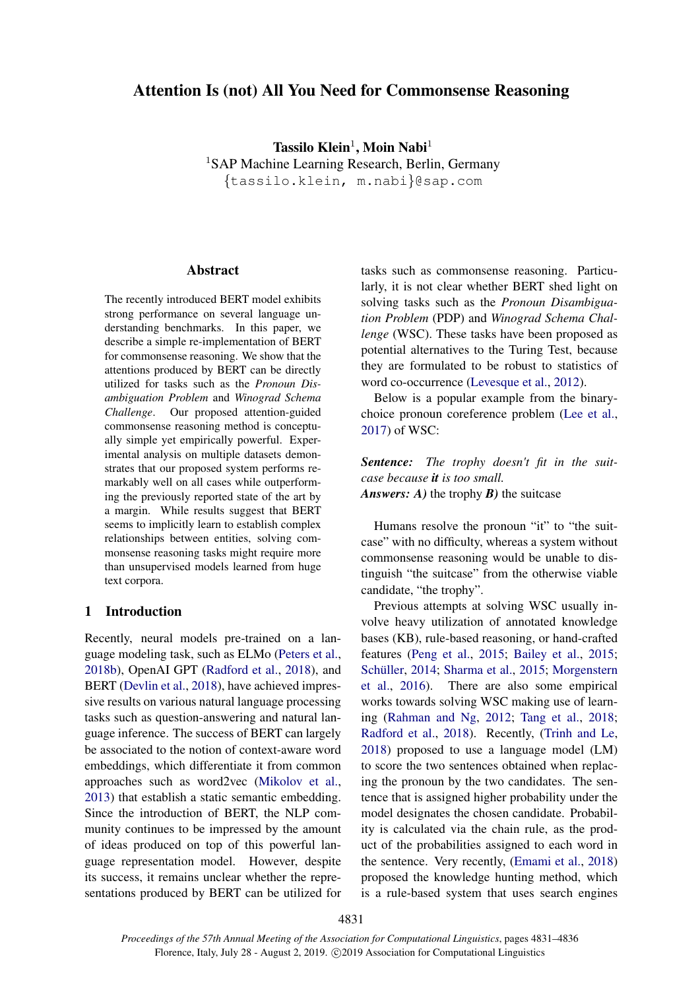# Attention Is (not) All You Need for Commonsense Reasoning

Tassilo Klein<sup>1</sup>, Moin Nabi<sup>1</sup> <sup>1</sup>SAP Machine Learning Research, Berlin, Germany {tassilo.klein, m.nabi}@sap.com

### **Abstract**

The recently introduced BERT model exhibits strong performance on several language understanding benchmarks. In this paper, we describe a simple re-implementation of BERT for commonsense reasoning. We show that the attentions produced by BERT can be directly utilized for tasks such as the *Pronoun Disambiguation Problem* and *Winograd Schema Challenge*. Our proposed attention-guided commonsense reasoning method is conceptually simple yet empirically powerful. Experimental analysis on multiple datasets demonstrates that our proposed system performs remarkably well on all cases while outperforming the previously reported state of the art by a margin. While results suggest that BERT seems to implicitly learn to establish complex relationships between entities, solving commonsense reasoning tasks might require more than unsupervised models learned from huge text corpora.

## 1 Introduction

Recently, neural models pre-trained on a language modeling task, such as ELMo [\(Peters et al.,](#page-5-0) [2018b\)](#page-5-0), OpenAI GPT [\(Radford et al.,](#page-5-1) [2018\)](#page-5-1), and BERT [\(Devlin et al.,](#page-4-0) [2018\)](#page-4-0), have achieved impressive results on various natural language processing tasks such as question-answering and natural language inference. The success of BERT can largely be associated to the notion of context-aware word embeddings, which differentiate it from common approaches such as word2vec [\(Mikolov et al.,](#page-5-2) [2013\)](#page-5-2) that establish a static semantic embedding. Since the introduction of BERT, the NLP community continues to be impressed by the amount of ideas produced on top of this powerful language representation model. However, despite its success, it remains unclear whether the representations produced by BERT can be utilized for

tasks such as commonsense reasoning. Particularly, it is not clear whether BERT shed light on solving tasks such as the *Pronoun Disambiguation Problem* (PDP) and *Winograd Schema Challenge* (WSC). These tasks have been proposed as potential alternatives to the Turing Test, because they are formulated to be robust to statistics of word co-occurrence [\(Levesque et al.,](#page-5-3) [2012\)](#page-5-3).

Below is a popular example from the binarychoice pronoun coreference problem [\(Lee et al.,](#page-5-4) [2017\)](#page-5-4) of WSC:

*Sentence: The trophy doesn't fit in the suitcase because it is too small. Answers: A)* the trophy *B)* the suitcase

Humans resolve the pronoun "it" to "the suitcase" with no difficulty, whereas a system without commonsense reasoning would be unable to distinguish "the suitcase" from the otherwise viable candidate, "the trophy".

Previous attempts at solving WSC usually involve heavy utilization of annotated knowledge bases (KB), rule-based reasoning, or hand-crafted features [\(Peng et al.,](#page-5-5) [2015;](#page-5-5) [Bailey et al.,](#page-4-1) [2015;](#page-4-1) Schüller, [2014;](#page-5-6) [Sharma et al.,](#page-5-7) [2015;](#page-5-7) [Morgenstern](#page-5-8) [et al.,](#page-5-8) [2016\)](#page-5-8). There are also some empirical works towards solving WSC making use of learning [\(Rahman and Ng,](#page-5-9) [2012;](#page-5-9) [Tang et al.,](#page-5-10) [2018;](#page-5-10) [Radford et al.,](#page-5-1) [2018\)](#page-5-1). Recently, [\(Trinh and Le,](#page-5-11) [2018\)](#page-5-11) proposed to use a language model (LM) to score the two sentences obtained when replacing the pronoun by the two candidates. The sentence that is assigned higher probability under the model designates the chosen candidate. Probability is calculated via the chain rule, as the product of the probabilities assigned to each word in the sentence. Very recently, [\(Emami et al.,](#page-4-2) [2018\)](#page-4-2) proposed the knowledge hunting method, which is a rule-based system that uses search engines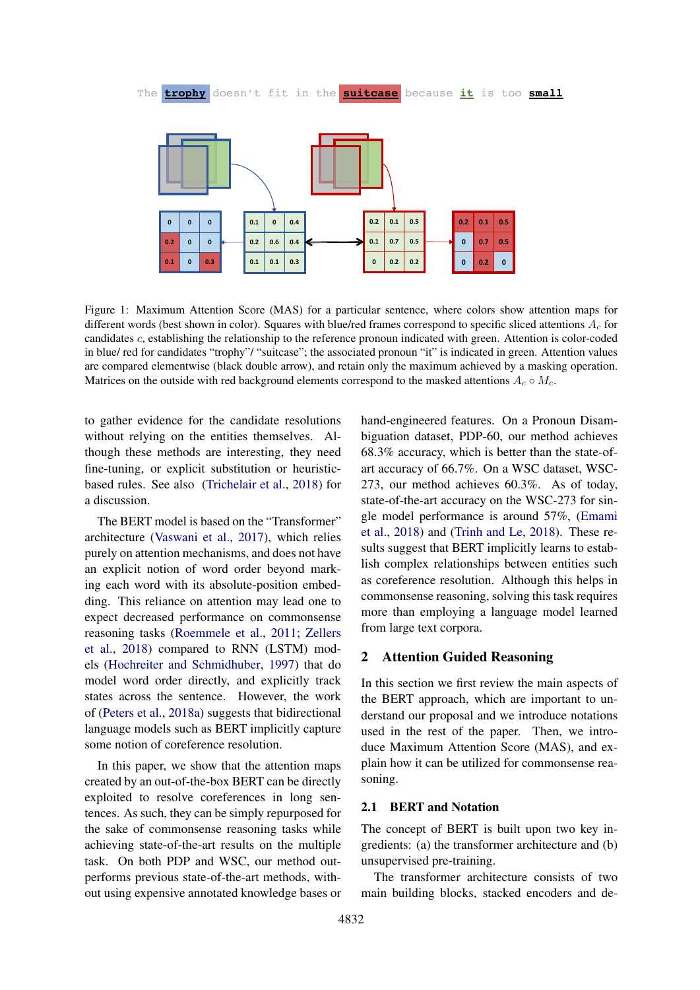<span id="page-1-0"></span>

Figure 1: Maximum Attention Score (MAS) for a particular sentence, where colors show attention maps for different words (best shown in color). Squares with blue/red frames correspond to specific sliced attentions  $A_c$  for candidates c, establishing the relationship to the reference pronoun indicated with green. Attention is color-coded in blue/ red for candidates "trophy"/ "suitcase"; the associated pronoun "it" is indicated in green. Attention values are compared elementwise (black double arrow), and retain only the maximum achieved by a masking operation. Matrices on the outside with red background elements correspond to the masked attentions  $A_c \circ M_c$ .

to gather evidence for the candidate resolutions without relying on the entities themselves. Although these methods are interesting, they need fine-tuning, or explicit substitution or heuristicbased rules. See also [\(Trichelair et al.,](#page-5-12) [2018\)](#page-5-12) for a discussion.

The BERT model is based on the "Transformer" architecture [\(Vaswani et al.,](#page-5-13) [2017\)](#page-5-13), which relies purely on attention mechanisms, and does not have an explicit notion of word order beyond marking each word with its absolute-position embedding. This reliance on attention may lead one to expect decreased performance on commonsense reasoning tasks [\(Roemmele et al.,](#page-5-14) [2011;](#page-5-14) [Zellers](#page-5-15) [et al.,](#page-5-15) [2018\)](#page-5-15) compared to RNN (LSTM) models [\(Hochreiter and Schmidhuber,](#page-4-3) [1997\)](#page-4-3) that do model word order directly, and explicitly track states across the sentence. However, the work of [\(Peters et al.,](#page-5-16) [2018a\)](#page-5-16) suggests that bidirectional language models such as BERT implicitly capture some notion of coreference resolution.

In this paper, we show that the attention maps created by an out-of-the-box BERT can be directly exploited to resolve coreferences in long sentences. As such, they can be simply repurposed for the sake of commonsense reasoning tasks while achieving state-of-the-art results on the multiple task. On both PDP and WSC, our method outperforms previous state-of-the-art methods, without using expensive annotated knowledge bases or hand-engineered features. On a Pronoun Disambiguation dataset, PDP-60, our method achieves 68.3% accuracy, which is better than the state-ofart accuracy of 66.7%. On a WSC dataset, WSC-273, our method achieves 60.3%. As of today, state-of-the-art accuracy on the WSC-273 for single model performance is around 57%, [\(Emami](#page-4-2) [et al.,](#page-4-2) [2018\)](#page-4-2) and [\(Trinh and Le,](#page-5-11) [2018\)](#page-5-11). These results suggest that BERT implicitly learns to establish complex relationships between entities such as coreference resolution. Although this helps in commonsense reasoning, solving this task requires more than employing a language model learned from large text corpora.

### 2 Attention Guided Reasoning

In this section we first review the main aspects of the BERT approach, which are important to understand our proposal and we introduce notations used in the rest of the paper. Then, we introduce Maximum Attention Score (MAS), and explain how it can be utilized for commonsense reasoning.

#### 2.1 BERT and Notation

The concept of BERT is built upon two key ingredients: (a) the transformer architecture and (b) unsupervised pre-training.

The transformer architecture consists of two main building blocks, stacked encoders and de-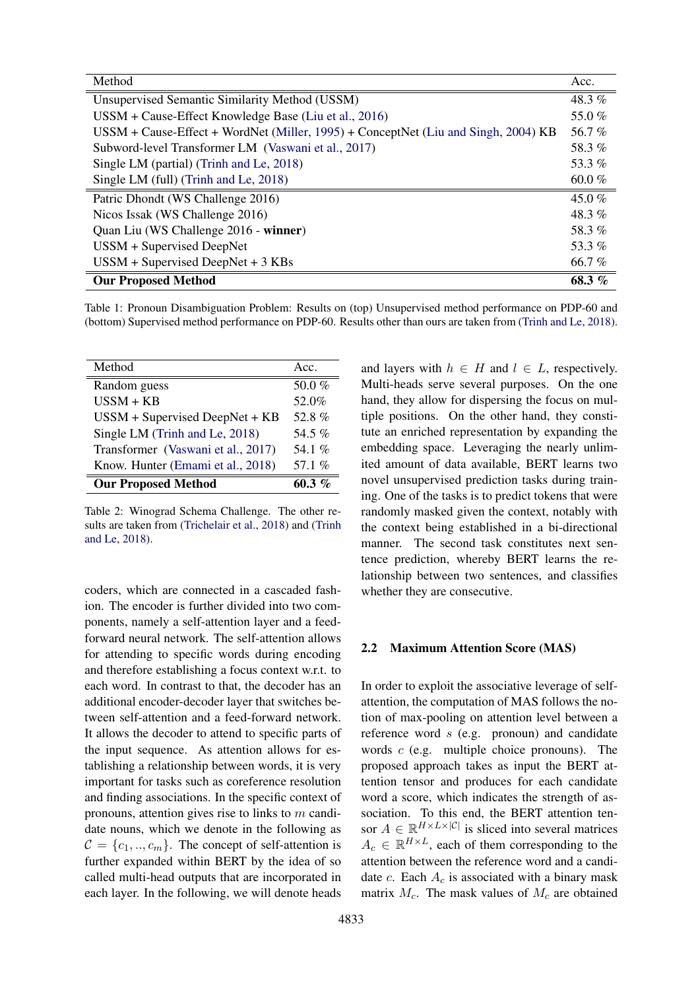| Method                                                                             | Acc.     |
|------------------------------------------------------------------------------------|----------|
| Unsupervised Semantic Similarity Method (USSM)                                     | 48.3%    |
| USSM + Cause-Effect Knowledge Base (Liu et al., 2016)                              | 55.0%    |
| USSM + Cause-Effect + WordNet (Miller, 1995) + ConceptNet (Liu and Singh, 2004) KB | 56.7%    |
| Subword-level Transformer LM (Vaswani et al., 2017)                                | 58.3%    |
| Single LM (partial) (Trinh and Le, 2018)                                           | 53.3%    |
| Single LM (full) (Trinh and Le, 2018)                                              | 60.0 %   |
| Patric Dhondt (WS Challenge 2016)                                                  | 45.0 %   |
| Nicos Issak (WS Challenge 2016)                                                    | 48.3%    |
| Quan Liu (WS Challenge 2016 - winner)                                              | 58.3%    |
| USSM + Supervised DeepNet                                                          | 53.3%    |
| $USSM + Supervised DeepNet + 3 KBs$                                                | 66.7 $%$ |
| <b>Our Proposed Method</b>                                                         | 68.3%    |

Table 1: Pronoun Disambiguation Problem: Results on (top) Unsupervised method performance on PDP-60 and (bottom) Supervised method performance on PDP-60. Results other than ours are taken from [\(Trinh and Le,](#page-5-11) [2018\)](#page-5-11).

| Method                             | Acc.      |
|------------------------------------|-----------|
| Random guess                       | 50.0 $%$  |
| $USSM + KB$                        | 52.0%     |
| $USSM + Supervised DeepNet + KB$   | 52.8%     |
| Single LM (Trinh and Le, 2018)     | 54.5 $\%$ |
| Transformer (Vaswani et al., 2017) | 54.1 $%$  |
| Know. Hunter (Emami et al., 2018)  | 57.1%     |
| <b>Our Proposed Method</b>         | 60.3 $%$  |

Table 2: Winograd Schema Challenge. The other results are taken from [\(Trichelair et al.,](#page-5-12) [2018\)](#page-5-12) and [\(Trinh](#page-5-11) [and Le,](#page-5-11) [2018\)](#page-5-11).

coders, which are connected in a cascaded fashion. The encoder is further divided into two components, namely a self-attention layer and a feedforward neural network. The self-attention allows for attending to specific words during encoding and therefore establishing a focus context w.r.t. to each word. In contrast to that, the decoder has an additional encoder-decoder layer that switches between self-attention and a feed-forward network. It allows the decoder to attend to specific parts of the input sequence. As attention allows for establishing a relationship between words, it is very important for tasks such as coreference resolution and finding associations. In the specific context of pronouns, attention gives rise to links to m candidate nouns, which we denote in the following as  $C = \{c_1, ..., c_m\}$ . The concept of self-attention is further expanded within BERT by the idea of so called multi-head outputs that are incorporated in each layer. In the following, we will denote heads

Multi-heads serve several purposes. On the one hand, they allow for dispersing the focus on multiple positions. On the other hand, they constitute an enriched representation by expanding the embedding space. Leveraging the nearly unlimited amount of data available, BERT learns two novel unsupervised prediction tasks during training. One of the tasks is to predict tokens that were randomly masked given the context, notably with the context being established in a bi-directional manner. The second task constitutes next sentence prediction, whereby BERT learns the relationship between two sentences, and classifies whether they are consecutive.

and layers with  $h \in H$  and  $l \in L$ , respectively.

### 2.2 Maximum Attention Score (MAS)

In order to exploit the associative leverage of selfattention, the computation of MAS follows the notion of max-pooling on attention level between a reference word s (e.g. pronoun) and candidate words  $c$  (e.g. multiple choice pronouns). The proposed approach takes as input the BERT attention tensor and produces for each candidate word a score, which indicates the strength of association. To this end, the BERT attention tensor  $A \in \mathbb{R}^{H \times L \times |\mathcal{C}|}$  is sliced into several matrices  $A_c \in \mathbb{R}^{H \times L}$ , each of them corresponding to the attention between the reference word and a candidate c. Each  $A_c$  is associated with a binary mask matrix  $M_c$ . The mask values of  $M_c$  are obtained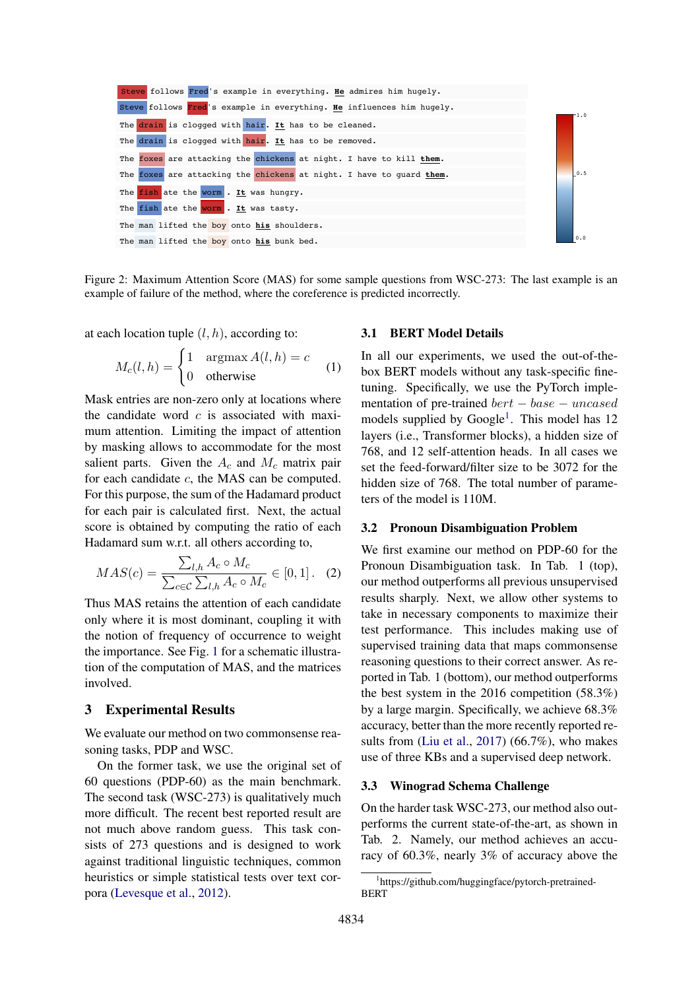<span id="page-3-1"></span>

Figure 2: Maximum Attention Score (MAS) for some sample questions from WSC-273: The last example is an example of failure of the method, where the coreference is predicted incorrectly.

at each location tuple  $(l, h)$ , according to:

$$
M_c(l, h) = \begin{cases} 1 & \text{argmax } A(l, h) = c \\ 0 & \text{otherwise} \end{cases}
$$
 (1)

Mask entries are non-zero only at locations where the candidate word  $c$  is associated with maximum attention. Limiting the impact of attention by masking allows to accommodate for the most salient parts. Given the  $A_c$  and  $M_c$  matrix pair for each candidate c, the MAS can be computed. For this purpose, the sum of the Hadamard product for each pair is calculated first. Next, the actual score is obtained by computing the ratio of each Hadamard sum w.r.t. all others according to,

$$
MAS(c) = \frac{\sum_{l,h} A_c \circ M_c}{\sum_{c \in C} \sum_{l,h} A_c \circ M_c} \in [0, 1]. \quad (2)
$$

Thus MAS retains the attention of each candidate only where it is most dominant, coupling it with the notion of frequency of occurrence to weight the importance. See Fig. [1](#page-1-0) for a schematic illustration of the computation of MAS, and the matrices involved.

#### 3 Experimental Results

We evaluate our method on two commonsense reasoning tasks, PDP and WSC.

On the former task, we use the original set of 60 questions (PDP-60) as the main benchmark. The second task (WSC-273) is qualitatively much more difficult. The recent best reported result are not much above random guess. This task consists of 273 questions and is designed to work against traditional linguistic techniques, common heuristics or simple statistical tests over text corpora [\(Levesque et al.,](#page-5-3) [2012\)](#page-5-3).

#### 3.1 BERT Model Details

In all our experiments, we used the out-of-thebox BERT models without any task-specific finetuning. Specifically, we use the PyTorch implementation of pre-trained  $bert - base - uncased$ models supplied by Google<sup>[1](#page-3-0)</sup>. This model has 12 layers (i.e., Transformer blocks), a hidden size of 768, and 12 self-attention heads. In all cases we set the feed-forward/filter size to be 3072 for the hidden size of 768. The total number of parameters of the model is 110M.

#### 3.2 Pronoun Disambiguation Problem

We first examine our method on PDP-60 for the Pronoun Disambiguation task. In Tab. 1 (top), our method outperforms all previous unsupervised results sharply. Next, we allow other systems to take in necessary components to maximize their test performance. This includes making use of supervised training data that maps commonsense reasoning questions to their correct answer. As reported in Tab. 1 (bottom), our method outperforms the best system in the 2016 competition (58.3%) by a large margin. Specifically, we achieve 68.3% accuracy, better than the more recently reported results from [\(Liu et al.,](#page-5-20) [2017\)](#page-5-20) (66.7%), who makes use of three KBs and a supervised deep network.

#### 3.3 Winograd Schema Challenge

On the harder task WSC-273, our method also outperforms the current state-of-the-art, as shown in Tab. 2. Namely, our method achieves an accuracy of 60.3%, nearly 3% of accuracy above the

<span id="page-3-0"></span><sup>1</sup> https://github.com/huggingface/pytorch-pretrained-BERT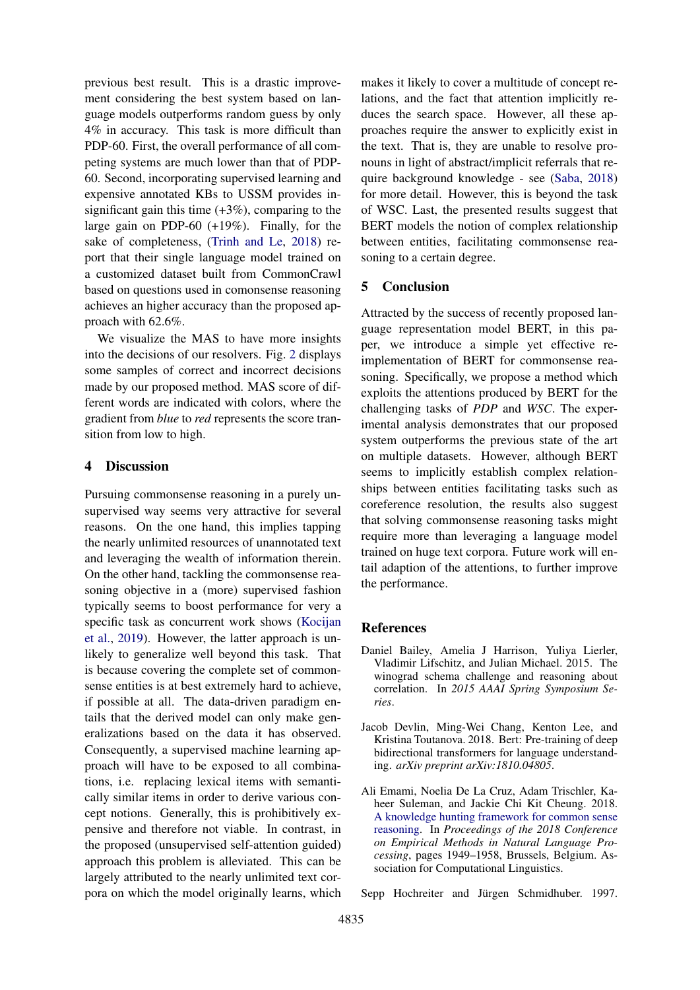previous best result. This is a drastic improvement considering the best system based on language models outperforms random guess by only 4% in accuracy. This task is more difficult than PDP-60. First, the overall performance of all competing systems are much lower than that of PDP-60. Second, incorporating supervised learning and expensive annotated KBs to USSM provides insignificant gain this time  $(+3\%)$ , comparing to the large gain on PDP-60 (+19%). Finally, for the sake of completeness, [\(Trinh and Le,](#page-5-11) [2018\)](#page-5-11) report that their single language model trained on a customized dataset built from CommonCrawl based on questions used in comonsense reasoning achieves an higher accuracy than the proposed approach with 62.6%.

We visualize the MAS to have more insights into the decisions of our resolvers. Fig. [2](#page-3-1) displays some samples of correct and incorrect decisions made by our proposed method. MAS score of different words are indicated with colors, where the gradient from *blue* to *red* represents the score transition from low to high.

## 4 Discussion

Pursuing commonsense reasoning in a purely unsupervised way seems very attractive for several reasons. On the one hand, this implies tapping the nearly unlimited resources of unannotated text and leveraging the wealth of information therein. On the other hand, tackling the commonsense reasoning objective in a (more) supervised fashion typically seems to boost performance for very a specific task as concurrent work shows [\(Kocijan](#page-5-21) [et al.,](#page-5-21) [2019\)](#page-5-21). However, the latter approach is unlikely to generalize well beyond this task. That is because covering the complete set of commonsense entities is at best extremely hard to achieve, if possible at all. The data-driven paradigm entails that the derived model can only make generalizations based on the data it has observed. Consequently, a supervised machine learning approach will have to be exposed to all combinations, i.e. replacing lexical items with semantically similar items in order to derive various concept notions. Generally, this is prohibitively expensive and therefore not viable. In contrast, in the proposed (unsupervised self-attention guided) approach this problem is alleviated. This can be largely attributed to the nearly unlimited text corpora on which the model originally learns, which

makes it likely to cover a multitude of concept relations, and the fact that attention implicitly reduces the search space. However, all these approaches require the answer to explicitly exist in the text. That is, they are unable to resolve pronouns in light of abstract/implicit referrals that require background knowledge - see [\(Saba,](#page-5-22) [2018\)](#page-5-22) for more detail. However, this is beyond the task of WSC. Last, the presented results suggest that BERT models the notion of complex relationship between entities, facilitating commonsense reasoning to a certain degree.

## 5 Conclusion

Attracted by the success of recently proposed language representation model BERT, in this paper, we introduce a simple yet effective reimplementation of BERT for commonsense reasoning. Specifically, we propose a method which exploits the attentions produced by BERT for the challenging tasks of *PDP* and *WSC*. The experimental analysis demonstrates that our proposed system outperforms the previous state of the art on multiple datasets. However, although BERT seems to implicitly establish complex relationships between entities facilitating tasks such as coreference resolution, the results also suggest that solving commonsense reasoning tasks might require more than leveraging a language model trained on huge text corpora. Future work will entail adaption of the attentions, to further improve the performance.

#### References

- <span id="page-4-1"></span>Daniel Bailey, Amelia J Harrison, Yuliya Lierler, Vladimir Lifschitz, and Julian Michael. 2015. The winograd schema challenge and reasoning about correlation. In *2015 AAAI Spring Symposium Series*.
- <span id="page-4-0"></span>Jacob Devlin, Ming-Wei Chang, Kenton Lee, and Kristina Toutanova. 2018. Bert: Pre-training of deep bidirectional transformers for language understanding. *arXiv preprint arXiv:1810.04805*.
- <span id="page-4-2"></span>Ali Emami, Noelia De La Cruz, Adam Trischler, Kaheer Suleman, and Jackie Chi Kit Cheung. 2018. [A knowledge hunting framework for common sense](https://www.aclweb.org/anthology/D18-1220) [reasoning.](https://www.aclweb.org/anthology/D18-1220) In *Proceedings of the 2018 Conference on Empirical Methods in Natural Language Processing*, pages 1949–1958, Brussels, Belgium. Association for Computational Linguistics.

<span id="page-4-3"></span>Sepp Hochreiter and Jürgen Schmidhuber. 1997.